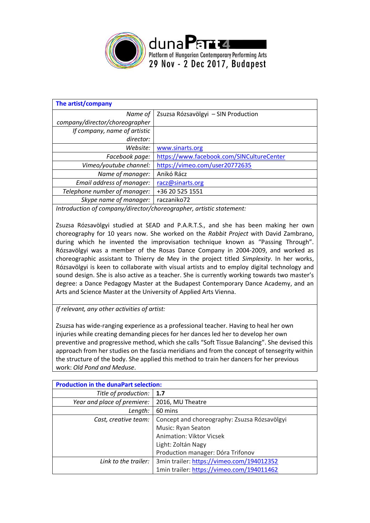

| Zsuzsa Rózsavölgyi - SIN Production       |
|-------------------------------------------|
|                                           |
|                                           |
|                                           |
| www.sinarts.org                           |
| https://www.facebook.com/SINCultureCenter |
| https://vimeo.com/user20772635            |
| Anikó Rácz                                |
| racz@sinarts.org                          |
| +36 20 525 1551                           |
| raczaniko72                               |
|                                           |

*Introduction of company/director/choreographer, artistic statement:*

Zsuzsa Rózsavölgyi studied at SEAD and P.A.R.T.S., and she has been making her own choreography for 10 years now. She worked on the *Rabbit Project* with David Zambrano, during which he invented the improvisation technique known as "Passing Through". Rózsavölgyi was a member of the Rosas Dance Company in 2004-2009, and worked as choreographic assistant to Thierry de Mey in the project titled *Simplexity*. In her works, Rózsavölgyi is keen to collaborate with visual artists and to employ digital technology and sound design. She is also active as a teacher. She is currently working towards two master's degree: a Dance Pedagogy Master at the Budapest Contemporary Dance Academy, and an Arts and Science Master at the University of Applied Arts Vienna.

*If relevant, any other activities of artist:*

Zsuzsa has wide-ranging experience as a professional teacher. Having to heal her own injuries while creating demanding pieces for her dances led her to develop her own preventive and progressive method, which she calls "Soft Tissue Balancing". She devised this approach from her studies on the fascia meridians and from the concept of tensegrity within the structure of the body. She applied this method to train her dancers for her previous work: *Old Pond and Meduse*.

| <b>Production in the dunaPart selection:</b> |                                              |  |  |  |
|----------------------------------------------|----------------------------------------------|--|--|--|
| Title of production:                         | 1.7                                          |  |  |  |
| Year and place of premiere:                  | 2016, MU Theatre                             |  |  |  |
| Length:                                      | 60 mins                                      |  |  |  |
| Cast, creative team:                         | Concept and choreography: Zsuzsa Rózsavölgyi |  |  |  |
|                                              | Music: Ryan Seaton                           |  |  |  |
|                                              | <b>Animation: Viktor Vicsek</b>              |  |  |  |
|                                              | Light: Zoltán Nagy                           |  |  |  |
|                                              | Production manager: Dóra Trifonov            |  |  |  |
| Link to the trailer:                         | 3min trailer: https://vimeo.com/194012352    |  |  |  |
|                                              | 1min trailer: https://vimeo.com/194011462    |  |  |  |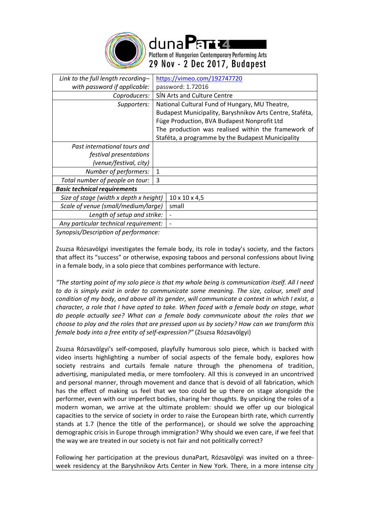

duna Partzi Platform of Hungarian Contemporary Performing Arts 29 Nov - 2 Dec 2017, Budapest

| Link to the full length recording-     | https://vimeo.com/192747720                              |  |  |  |
|----------------------------------------|----------------------------------------------------------|--|--|--|
| with password if applicable:           | password: 1.72016                                        |  |  |  |
| Coproducers:                           | SIN Arts and Culture Centre                              |  |  |  |
| Supporters:                            | National Cultural Fund of Hungary, MU Theatre,           |  |  |  |
|                                        | Budapest Municipality, Baryshnikov Arts Centre, Staféta, |  |  |  |
|                                        | Füge Production, BVA Budapest Nonprofit Ltd              |  |  |  |
|                                        | The production was realised within the framework of      |  |  |  |
|                                        | Staféta, a programme by the Budapest Municipality        |  |  |  |
| Past international tours and           |                                                          |  |  |  |
| festival presentations                 |                                                          |  |  |  |
| (venue/festival, city)                 |                                                          |  |  |  |
| Number of performers:                  | 1                                                        |  |  |  |
| Total number of people on tour:        | 3                                                        |  |  |  |
| <b>Basic technical requirements</b>    |                                                          |  |  |  |
| Size of stage (width x depth x height) | $10 \times 10 \times 4,5$                                |  |  |  |
| Scale of venue (small/medium/large)    | small                                                    |  |  |  |
| Length of setup and strike:            |                                                          |  |  |  |
| Any particular technical requirement:  |                                                          |  |  |  |
| Synopsis/Description of performance:   |                                                          |  |  |  |

Zsuzsa Rózsavölgyi investigates the female body, its role in today's society, and the factors that affect its "success" or otherwise, exposing taboos and personal confessions about living in a female body, in a solo piece that combines performance with lecture.

*"The starting point of my solo piece is that my whole being is communication itself. All I need to do is simply exist in order to communicate some meaning. The size, colour, smell and condition of my body, and above all its gender, will communicate a context in which I exist, a character, a role that I have opted to take. When faced with a female body on stage, what do people actually see? What can a female body communicate about the roles that we choose to play and the roles that are pressed upon us by society? How can we transform this female body into a free entity of self-expression?"* (Zsuzsa Rózsavölgyi)

Zsuzsa Rózsavölgyi's self-composed, playfully humorous solo piece, which is backed with video inserts highlighting a number of social aspects of the female body, explores how society restrains and curtails female nature through the phenomena of tradition, advertising, manipulated media, or mere tomfoolery. All this is conveyed in an uncontrived and personal manner, through movement and dance that is devoid of all fabrication, which has the effect of making us feel that we too could be up there on stage alongside the performer, even with our imperfect bodies, sharing her thoughts. By unpicking the roles of a modern woman, we arrive at the ultimate problem: should we offer up our biological capacities to the service of society in order to raise the European birth rate, which currently stands at 1.7 (hence the title of the performance), or should we solve the approaching demographic crisis in Europe through immigration? Why should we even care, if we feel that the way we are treated in our society is not fair and not politically correct?

Following her participation at the previous dunaPart, Rózsavölgyi was invited on a threeweek residency at the Baryshnikov Arts Center in New York. There, in a more intense city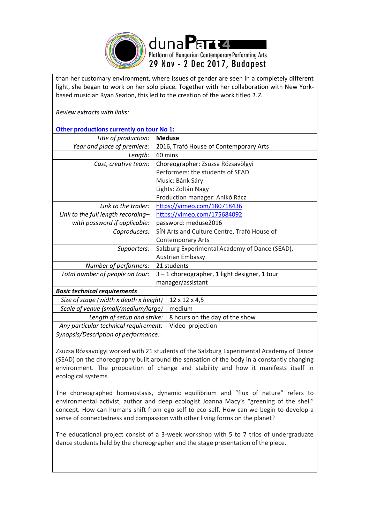

than her customary environment, where issues of gender are seen in a completely different light, she began to work on her solo piece. Together with her collaboration with New Yorkbased musician Ryan Seaton, this led to the creation of the work titled *1.7*.

| Review extracts with links:               |                                                |                                |  |  |
|-------------------------------------------|------------------------------------------------|--------------------------------|--|--|
| Other productions currently on tour No 1: |                                                |                                |  |  |
| Title of production:                      | <b>Meduse</b>                                  |                                |  |  |
| Year and place of premiere:               | 2016, Trafó House of Contemporary Arts         |                                |  |  |
| Length:                                   | 60 mins                                        |                                |  |  |
| Cast, creative team:                      | Choreographer: Zsuzsa Rózsavölgyi              |                                |  |  |
|                                           | Performers: the students of SEAD               |                                |  |  |
|                                           | Music: Bánk Sáry                               |                                |  |  |
|                                           | Lights: Zoltán Nagy                            |                                |  |  |
|                                           | Production manager: Anikó Rácz                 |                                |  |  |
| Link to the trailer:                      | https://vimeo.com/180718436                    |                                |  |  |
| Link to the full length recording-        | https://vimeo.com/175684092                    |                                |  |  |
| with password if applicable:              | password: meduse2016                           |                                |  |  |
| Coproducers:                              | SÍN Arts and Culture Centre, Trafó House of    |                                |  |  |
|                                           |                                                | <b>Contemporary Arts</b>       |  |  |
| Supporters:                               | Salzburg Experimental Academy of Dance (SEAD), |                                |  |  |
|                                           | <b>Austrian Embassy</b>                        |                                |  |  |
| Number of performers:                     | 21 students                                    |                                |  |  |
| Total number of people on tour:           | 3-1 choreographer, 1 light designer, 1 tour    |                                |  |  |
|                                           | manager/assistant                              |                                |  |  |
| <b>Basic technical requirements</b>       |                                                |                                |  |  |
| Size of stage (width x depth x height)    |                                                | 12 x 12 x 4,5                  |  |  |
| Scale of venue (small/medium/large)       |                                                | medium                         |  |  |
| Length of setup and strike:               |                                                | 8 hours on the day of the show |  |  |
| Any particular technical requirement:     |                                                | Video projection               |  |  |
|                                           |                                                |                                |  |  |

*Synopsis/Description of performance:*

Zsuzsa Rózsavölgyi worked with 21 students of the Salzburg Experimental Academy of Dance (SEAD) on the choreography built around the sensation of the body in a constantly changing environment. The proposition of change and stability and how it manifests itself in ecological systems.

The choreographed homeostasis, dynamic equilibrium and "flux of nature" refers to environmental activist, author and deep ecologist Joanna Macy's "greening of the shell" concept. How can humans shift from ego-self to eco-self. How can we begin to develop a sense of connectedness and compassion with other living forms on the planet?

The educational project consist of a 3-week workshop with 5 to 7 trios of undergraduate dance students held by the choreographer and the stage presentation of the piece.